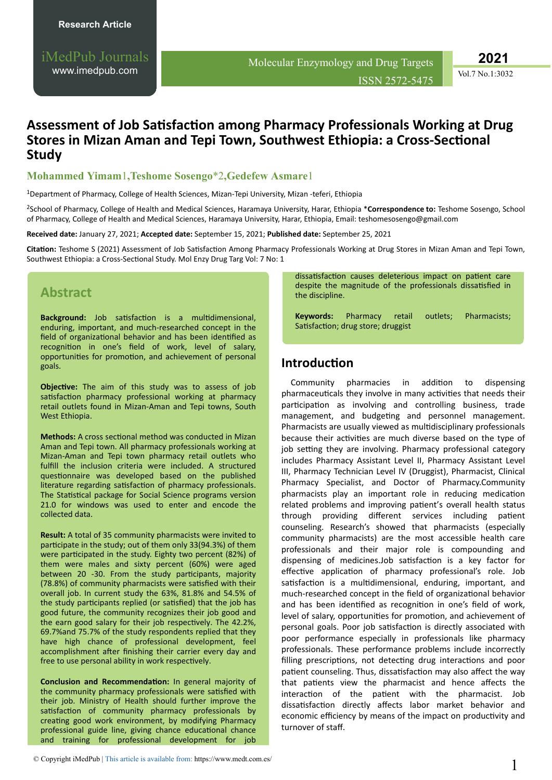**2021**

Vol.7 No.1:3032

# **Assessment of Job Satisfaction among Pharmacy Professionals Working at Drug Stores in Mizan Aman and Tepi Town, Southwest Ethiopia: a Cross-Sectional Study**

## **Mohammed Yimam**1**,Teshome Sosengo**\*2**,Gedefew Asmare**1

<sup>1</sup>Department of Pharmacy, College of Health Sciences, Mizan-Tepi University, Mizan -teferi, Ethiopia

<sup>2</sup>School of Pharmacy, College of Health and Medical Sciences, Haramaya University, Harar, Ethiopia \***Correspondence to:** Teshome Sosengo, School of Pharmacy, College of Health and Medical Sciences, Haramaya University, Harar, Ethiopia, Email: teshomesosengo@gmail.com

**Received date:** January 27, 2021; **Accepted date:** September 15, 2021; **Published date:** September 25, 2021

Citation: Teshome S (2021) Assessment of Job Satisfaction Among Pharmacy Professionals Working at Drug Stores in Mizan Aman and Tepi Town, Southwest Ethiopia: a Cross-Sectional Study. Mol Enzy Drug Targ Vol: 7 No: 1

# **Abstract**

Background: Job satisfaction is a multidimensional, enduring, important, and much-researched concept in the field of organizational behavior and has been identified as recognition in one's field of work, level of salary, opportunities for promotion, and achievement of personal goals.

**Objective:** The aim of this study was to assess of job satisfaction pharmacy professional working at pharmacy retail outlets found in Mizan-Aman and Tepi towns, South West Ethiopia.

**Methods:** A cross sectional method was conducted in Mizan Aman and Tepi town. All pharmacy professionals working at Mizan-Aman and Tepi town pharmacy retail outlets who fulfill the inclusion criteria were included. A structured questionnaire was developed based on the published literature regarding satisfaction of pharmacy professionals. The Statistical package for Social Science programs version 21.0 for windows was used to enter and encode the collected data.

**Result:** A total of 35 community pharmacists were invited to participate in the study; out of them only 33(94.3%) of them were participated in the study. Eighty two percent (82%) of them were males and sixty percent (60%) were aged between 20 -30. From the study participants, majority (78.8%) of community pharmacists were satisfied with their overall job. In current study the 63%, 81.8% and 54.5% of the study participants replied (or satisfied) that the job has good future, the community recognizes their job good and the earn good salary for their job respectively. The 42.2%, 69.7%and 75.7% of the study respondents replied that they have high chance of professional development, feel accomplishment after finishing their carrier every day and free to use personal ability in work respectively.

**Conclusion and Recommendation:** In general majority of the community pharmacy professionals were satisfied with their job. Ministry of Health should further improve the satisfaction of community pharmacy professionals by creating good work environment, by modifying Pharmacy professional guide line, giving chance educational chance and training for professional development for job

dissatisfaction causes deleterious impact on patient care despite the magnitude of the professionals dissatisfied in the discipline.

**Keywords:** Pharmacy retail outlets; Pharmacists; Satisfaction; drug store; druggist

# **Introduction**

Community pharmacies in addition to dispensing pharmaceuticals they involve in many activities that needs their participation as involving and controlling business, trade management, and budgeting and personnel management. Pharmacists are usually viewed as multidisciplinary professionals because their activities are much diverse based on the type of job setting they are involving. Pharmacy professional category includes Pharmacy Assistant Level II, Pharmacy Assistant Level III, Pharmacy Technician Level IV (Druggist), Pharmacist, Clinical Pharmacy Specialist, and Doctor of Pharmacy.Community pharmacists play an important role in reducing medication related problems and improving patient's overall health status through providing different services including patient counseling. Research's showed that pharmacists (especially community pharmacists) are the most accessible health care professionals and their major role is compounding and dispensing of medicines.Job satisfaction is a key factor for effective application of pharmacy professional's role. Job satisfaction is a multidimensional, enduring, important, and much-researched concept in the field of organizational behavior and has been identified as recognition in one's field of work, level of salary, opportunities for promotion, and achievement of personal goals. Poor job satisfaction is directly associated with poor performance especially in professionals like pharmacy professionals. These performance problems include incorrectly filling prescriptions, not detecting drug interactions and poor patient counseling. Thus, dissatisfaction may also affect the way that patients view the pharmacist and hence affects the interaction of the patient with the pharmacist. Job dissatisfaction directly affects labor market behavior and economic efficiency by means of the impact on productivity and turnover of staff.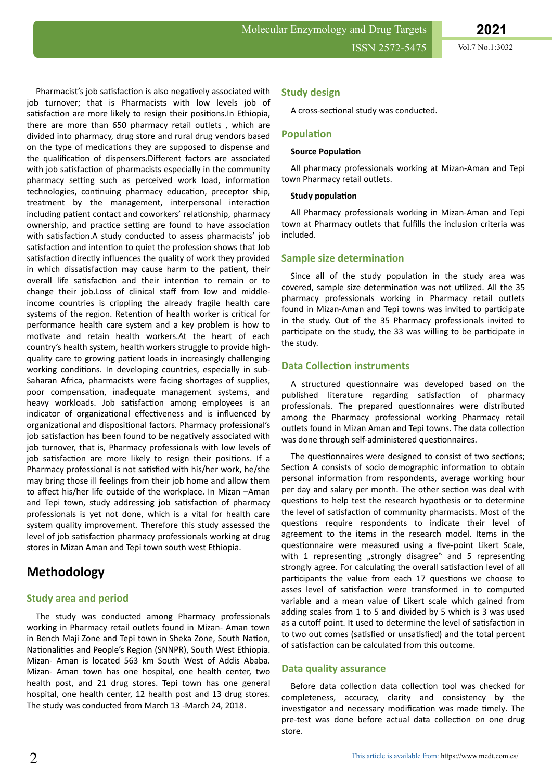Pharmacist's job satisfaction is also negatively associated with job turnover; that is Pharmacists with low levels job of satisfaction are more likely to resign their positions. In Ethiopia, there are more than 650 pharmacy retail outlets , which are divided into pharmacy, drug store and rural drug vendors based on the type of medications they are supposed to dispense and the qualification of dispensers. Different factors are associated with job satisfaction of pharmacists especially in the community pharmacy setting such as perceived work load, information technologies, continuing pharmacy education, preceptor ship, treatment by the management, interpersonal interaction including patient contact and coworkers' relationship, pharmacy ownership, and practice setting are found to have association with satisfaction.A study conducted to assess pharmacists' job satisfaction and intention to quiet the profession shows that Job satisfaction directly influences the quality of work they provided in which dissatisfaction may cause harm to the patient, their overall life satisfaction and their intention to remain or to change their job.Loss of clinical staff from low and middleincome countries is crippling the already fragile health care systems of the region. Retention of health worker is critical for performance health care system and a key problem is how to motivate and retain health workers.At the heart of each country's health system, health workers struggle to provide highquality care to growing patient loads in increasingly challenging working conditions. In developing countries, especially in sub-Saharan Africa, pharmacists were facing shortages of supplies, poor compensation, inadequate management systems, and heavy workloads. Job satisfaction among employees is an indicator of organizational effectiveness and is influenced by organizational and dispositional factors. Pharmacy professional's job satisfaction has been found to be negatively associated with job turnover, that is, Pharmacy professionals with low levels of job satisfaction are more likely to resign their positions. If a Pharmacy professional is not satisfied with his/her work, he/she may bring those ill feelings from their job home and allow them to affect his/her life outside of the workplace. In Mizan –Aman and Tepi town, study addressing job satisfaction of pharmacy professionals is yet not done, which is a vital for health care system quality improvement. Therefore this study assessed the level of job satisfaction pharmacy professionals working at drug

# **Methodology**

# **Study area and period**

The study was conducted among Pharmacy professionals working in Pharmacy retail outlets found in Mizan- Aman town in Bench Maji Zone and Tepi town in Sheka Zone, South Nation, Nationalities and People's Region (SNNPR), South West Ethiopia. Mizan- Aman is located 563 km South West of Addis Ababa. Mizan- Aman town has one hospital, one health center, two health post, and 21 drug stores. Tepi town has one general hospital, one health center, 12 health post and 13 drug stores. The study was conducted from March 13 -March 24, 2018.

stores in Mizan Aman and Tepi town south west Ethiopia.

## **Study design**

A cross-sectional study was conducted.

## **Population**

#### **Source Population**

All pharmacy professionals working at Mizan-Aman and Tepi town Pharmacy retail outlets.

#### **Study population**

All Pharmacy professionals working in Mizan-Aman and Tepi town at Pharmacy outlets that fulfills the inclusion criteria was included.

## **Sample size determination**

Since all of the study population in the study area was covered, sample size determination was not utilized. All the 35 pharmacy professionals working in Pharmacy retail outlets found in Mizan-Aman and Tepi towns was invited to participate in the study. Out of the 35 Pharmacy professionals invited to participate on the study, the 33 was willing to be participate in the study.

## **Data Collection instruments**

A structured questionnaire was developed based on the published literature regarding satisfaction of pharmacy professionals. The prepared questionnaires were distributed among the Pharmacy professional working Pharmacy retail outlets found in Mizan Aman and Tepi towns. The data collection was done through self-administered questionnaires.

The questionnaires were designed to consist of two sections; Section A consists of socio demographic information to obtain personal information from respondents, average working hour per day and salary per month. The other section was deal with questions to help test the research hypothesis or to determine the level of satisfaction of community pharmacists. Most of the questions require respondents to indicate their level of agreement to the items in the research model. Items in the questionnaire were measured using a five-point Likert Scale, with 1 representing "strongly disagree" and 5 representing strongly agree. For calculating the overall satisfaction level of all participants the value from each 17 questions we choose to asses level of satisfaction were transformed in to computed variable and a mean value of Likert scale which gained from adding scales from 1 to 5 and divided by 5 which is 3 was used as a cutoff point. It used to determine the level of satisfaction in to two out comes (satisfied or unsatisfied) and the total percent of satisfaction can be calculated from this outcome.

#### **Data quality assurance**

Before data collection data collection tool was checked for completeness, accuracy, clarity and consistency by the investigator and necessary modification was made timely. The pre-test was done before actual data collection on one drug store.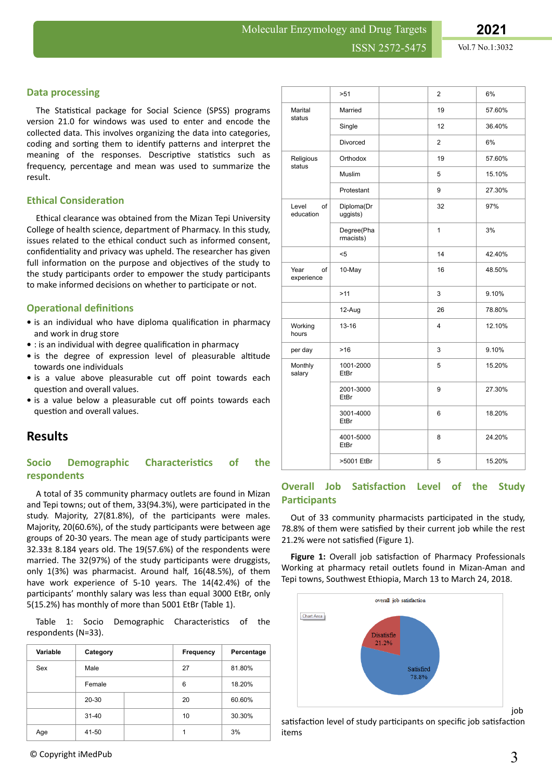## **Data processing**

The Statistical package for Social Science (SPSS) programs version 21.0 for windows was used to enter and encode the collected data. This involves organizing the data into categories, coding and sorting them to identify patterns and interpret the meaning of the responses. Descriptive statistics such as frequency, percentage and mean was used to summarize the result.

## **Ethical Consideration**

Ethical clearance was obtained from the Mizan Tepi University College of health science, department of Pharmacy. In this study, issues related to the ethical conduct such as informed consent, confidentiality and privacy was upheld. The researcher has given full information on the purpose and objectives of the study to the study participants order to empower the study participants to make informed decisions on whether to participate or not.

## **Operational definitions**

- is an individual who have diploma qualification in pharmacy and work in drug store
- : is an individual with degree qualification in pharmacy
- is the degree of expression level of pleasurable altitude towards one individuals
- is a value above pleasurable cut off point towards each question and overall values.
- is a value below a pleasurable cut off points towards each question and overall values.

# **Results**

# **Socio Demographic Characteristics of the respondents**

A total of 35 community pharmacy outlets are found in Mizan and Tepi towns; out of them, 33(94.3%), were participated in the study. Majority, 27(81.8%), of the participants were males. Majority, 20(60.6%), of the study participants were between age groups of 20-30 years. The mean age of study participants were 32.33± 8.184 years old. The 19(57.6%) of the respondents were married. The 32(97%) of the study participants were druggists, only 1(3%) was pharmacist. Around half, 16(48.5%), of them have work experience of 5-10 years. The 14(42.4%) of the participants' monthly salary was less than equal 3000 EtBr, only 5(15.2%) has monthly of more than 5001 EtBr (Table 1).

Table 1: Socio Demographic Characteristics of the respondents (N=33).

| Variable | Category  | Frequency | Percentage |
|----------|-----------|-----------|------------|
| Sex      | Male      | 27        | 81.80%     |
|          | Female    | 6         | 18.20%     |
|          | 20-30     | 20        | 60.60%     |
|          | $31 - 40$ | 10        | 30.30%     |
| Age      | 41-50     | 4         | 3%         |

|                          | >51                     |  | $\overline{2}$ | 6%     |
|--------------------------|-------------------------|--|----------------|--------|
| Marital<br>status        | Married                 |  | 19             | 57.60% |
|                          | Single                  |  | 12             | 36.40% |
|                          | Divorced                |  | $\overline{2}$ | 6%     |
| Religious<br>status      | Orthodox                |  | 19             | 57.60% |
|                          | Muslim                  |  | 5              | 15.10% |
|                          | Protestant              |  | 9              | 27.30% |
| Level<br>of<br>education | Diploma(Dr<br>uggists)  |  | 32             | 97%    |
|                          | Degree(Pha<br>rmacists) |  | 1              | 3%     |
|                          | $5$                     |  | 14             | 42.40% |
| Year<br>of<br>experience | 10-May                  |  | 16             | 48.50% |
|                          | >11                     |  | 3              | 9.10%  |
|                          | 12-Aug                  |  | 26             | 78.80% |
| Working<br>hours         | $13 - 16$               |  | 4              | 12.10% |
| per day                  | 3<br>$>16$              |  | 9.10%          |        |
| Monthly<br>salary        | 1001-2000<br>EtBr       |  | 5              | 15.20% |
|                          | 2001-3000<br>EtBr       |  | 9              | 27.30% |
|                          | 3001-4000<br>EtBr       |  | 6              | 18.20% |
|                          | 4001-5000<br>EtBr       |  | 8              | 24.20% |
|                          | >5001 EtBr              |  | 5              | 15.20% |

## **Overall Job Satisfaction Level of the Study Participants**

Out of 33 community pharmacists participated in the study, 78.8% of them were satisfied by their current job while the rest 21.2% were not satisfied (Figure 1).

**Figure 1:** Overall job satisfaction of Pharmacy Professionals Working at pharmacy retail outlets found in Mizan-Aman and Tepi towns, Southwest Ethiopia, March 13 to March 24, 2018.



satisfaction level of study participants on specific job satisfaction items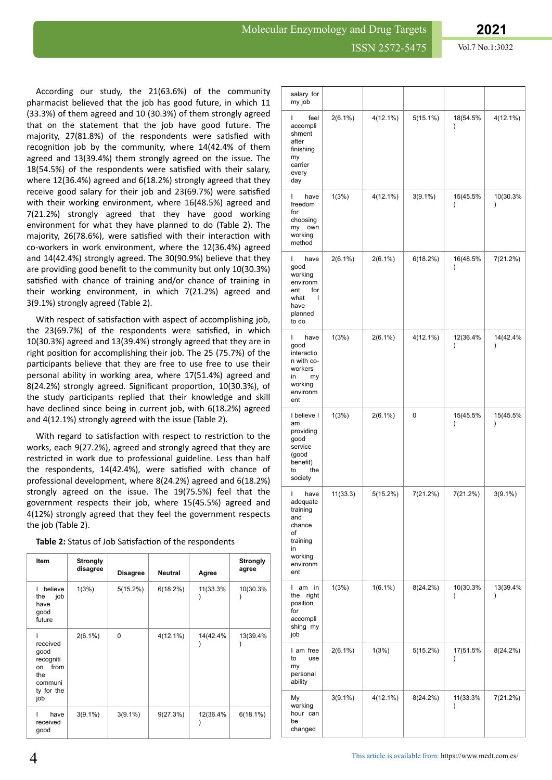According our study, the 21(63.6%) of the community pharmacist believed that the job has good future, in which 11 (33.3%) of them agreed and 10 (30.3%) of them strongly agreed that on the statement that the job have good future. The majority, 27(81.8%) of the respondents were satisfied with recognition job by the community, where 14(42.4% of them agreed and 13(39.4%) them strongly agreed on the issue. The 18(54.5%) of the respondents were satisfied with their salary, where 12(36.4%) agreed and 6(18.2%) strongly agreed that they receive good salary for their job and  $23(69.7%)$  were satisfied with their working environment, where 16(48.5%) agreed and 7(21.2%) strongly agreed that they have good working environment for what they have planned to do (Table 2). The majority, 26(78.6%), were satisfied with their interaction with co-workers in work environment, where the 12(36.4%) agreed and 14(42.4%) strongly agreed. The 30(90.9%) believe that they are providing good benefit to the community but only 10(30.3%) satisfied with chance of training and/or chance of training in their working environment, in which 7(21.2%) agreed and 3(9.1%) strongly agreed (Table 2).

With respect of satisfaction with aspect of accomplishing job, the 23(69.7%) of the respondents were satisfied, in which 10(30.3%) agreed and 13(39.4%) strongly agreed that they are in right position for accomplishing their job. The 25 (75.7%) of the participants believe that they are free to use free to use their personal ability in working area, where 17(51.4%) agreed and 8(24.2%) strongly agreed. Significant proportion, 10(30.3%), of the study participants replied that their knowledge and skill have declined since being in current job, with 6(18.2%) agreed and 4(12.1%) strongly agreed with the issue (Table 2).

With regard to satisfaction with respect to restriction to the works, each 9(27.2%), agreed and strongly agreed that they are restricted in work due to professional guideline. Less than half the respondents,  $14(42.4%)$ , were satisfied with chance of professional development, where 8(24.2%) agreed and 6(18.2%) strongly agreed on the issue. The 19(75.5%) feel that the government respects their job, where 15(45.5%) agreed and 4(12%) strongly agreed that they feel the government respects the job (Table 2).

Table 2: Status of Job Satisfaction of the respondents

| <b>Item</b>                                                                        | <b>Strongly</b><br>disagree | <b>Disagree</b> | <b>Neutral</b> | Agree    | <b>Strongly</b><br>agree |
|------------------------------------------------------------------------------------|-----------------------------|-----------------|----------------|----------|--------------------------|
| believe<br>job<br>the<br>have<br>good<br>future                                    | 1(3%)                       | 5(15.2%)        | 6(18.2%)       | 11(33.3% | 10(30.3%                 |
| received<br>good<br>recogniti<br>from<br>on<br>the<br>communi<br>ty for the<br>job | $2(6.1\%)$                  | $\Omega$        | $4(12.1\%)$    | 14(42.4% | 13(39.4%                 |
| have<br>received<br>good                                                           | $3(9.1\%)$                  | $3(9.1\%)$      | 9(27.3%)       | 12(36.4% | $6(18.1\%)$              |

| salary for<br>my job                                                                                     |            |             |             |                           |                           |
|----------------------------------------------------------------------------------------------------------|------------|-------------|-------------|---------------------------|---------------------------|
| feel<br>L<br>accompli<br>shment<br>after<br>finishing<br>my<br>carrier<br>every<br>day                   | $2(6.1\%)$ | $4(12.1\%)$ | $5(15.1\%)$ | 18(54.5%<br>$\mathcal{E}$ | $4(12.1\%)$               |
| have<br>I<br>freedom<br>for<br>choosing<br>my<br>own<br>working<br>method                                | 1(3%)      | $4(12.1\%)$ | $3(9.1\%)$  | 15(45.5%<br>$\mathcal{E}$ | 10(30.3%<br>$\mathcal{E}$ |
| L<br>have<br>good<br>working<br>environm<br>for<br>ent<br>what<br>ı<br>have<br>planned<br>to do          | $2(6.1\%)$ | $2(6.1\%)$  | 6(18.2%)    | 16(48.5%<br>$\mathcal{E}$ | 7(21.2%)                  |
| L<br>have<br>good<br>interactio<br>n with co-<br>workers<br>in<br>my<br>working<br>environm<br>ent       | 1(3%)      | $2(6.1\%)$  | 4(12.1%)    | 12(36.4%<br>$\mathcal{E}$ | 14(42.4%<br>$\mathcal{E}$ |
| I believe I<br>am<br>providing<br>good<br>service<br>(good<br>benefit)<br>the<br>to<br>society           | 1(3%)      | $2(6.1\%)$  | 0           | 15(45.5%<br>$\mathcal{E}$ | 15(45.5%<br>$\mathcal{E}$ |
| L<br>have<br>adequate<br>training<br>and<br>chance<br>of<br>training<br>in<br>working<br>environm<br>ent | 11(33.3)   | 5(15.2%)    | 7(21.2%)    | 7(21.2%)                  | $3(9.1\%)$                |
| L<br>am in<br>the<br>right<br>position<br>for<br>accompli<br>shing my<br>job                             | 1(3%)      | $1(6.1\%)$  | 8(24.2%)    | 10(30.3%<br>$\mathcal{E}$ | 13(39.4%<br>$\mathcal{E}$ |
| I am free<br>to<br>use<br>my<br>personal<br>ability                                                      | $2(6.1\%)$ | 1(3%)       | 5(15.2%)    | 17(51.5%<br>$\mathcal{E}$ | 8(24.2%)                  |
| My<br>working<br>hour can<br>be<br>changed                                                               | $3(9.1\%)$ | $4(12.1\%)$ | 8(24.2%)    | 11(33.3%<br>$\mathcal{E}$ | 7(21.2%)                  |

#### This article is available from: <https://www.medt.com.es/>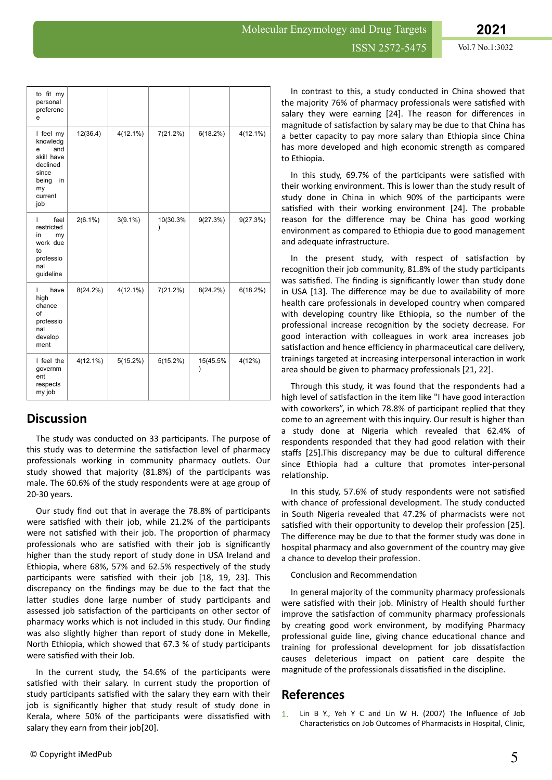| to fit my<br>personal<br>preferenc<br>e                                                                     |             |             |                       |               |             |
|-------------------------------------------------------------------------------------------------------------|-------------|-------------|-----------------------|---------------|-------------|
| I feel my<br>knowledg<br>and<br>e<br>skill have<br>declined<br>since<br>being<br>in<br>my<br>current<br>job | 12(36.4)    | $4(12.1\%)$ | 7(21.2%)              | 6(18.2%)      | $4(12.1\%)$ |
| feel<br>L<br>restricted<br>in<br>my<br>work due<br>to<br>professio<br>nal<br>guideline                      | $2(6.1\%)$  | $3(9.1\%)$  | 10(30.3%<br>$\lambda$ | 9(27.3%)      | 9(27.3%)    |
| have<br>L<br>high<br>chance<br>of<br>professio<br>nal<br>develop<br>ment                                    | $8(24.2\%)$ | $4(12.1\%)$ | 7(21.2%)              | $8(24.2\%)$   | 6(18.2%)    |
| I feel the<br>governm<br>ent<br>respects<br>my job                                                          | $4(12.1\%)$ | 5(15.2%)    | 5(15.2%)              | 15(45.5%<br>) | 4(12%)      |

# **Discussion**

The study was conducted on 33 participants. The purpose of this study was to determine the satisfaction level of pharmacy professionals working in community pharmacy outlets. Our study showed that majority  $(81.8%)$  of the participants was male. The 60.6% of the study respondents were at age group of 20-30 years.

Our study find out that in average the 78.8% of participants were satisfied with their job, while 21.2% of the participants were not satisfied with their job. The proportion of pharmacy professionals who are satisfied with their job is significantly higher than the study report of study done in USA Ireland and Ethiopia, where 68%, 57% and 62.5% respectively of the study participants were satisfied with their job [18, 19, 23]. This discrepancy on the findings may be due to the fact that the latter studies done large number of study participants and assessed job satisfaction of the participants on other sector of pharmacy works which is not included in this study. Our finding was also slightly higher than report of study done in Mekelle, North Ethiopia, which showed that 67.3 % of study participants were satisfied with their Job.

In the current study, the 54.6% of the participants were satisfied with their salary. In current study the proportion of study participants satisfied with the salary they earn with their job is significantly higher that study result of study done in Kerala, where 50% of the participants were dissatisfied with salary they earn from their job[20].

In contrast to this, a study conducted in China showed that the majority 76% of pharmacy professionals were satisfied with salary they were earning [24]. The reason for differences in magnitude of satisfaction by salary may be due to that China has a better capacity to pay more salary than Ethiopia since China has more developed and high economic strength as compared to Ethiopia.

In this study, 69.7% of the participants were satisfied with their working environment. This is lower than the study result of study done in China in which 90% of the participants were satisfied with their working environment [24]. The probable reason for the difference may be China has good working environment as compared to Ethiopia due to good management and adequate infrastructure.

In the present study, with respect of satisfaction by recognition their job community, 81.8% of the study participants was satisfied. The finding is significantly lower than study done in USA [13]. The difference may be due to availability of more health care professionals in developed country when compared with developing country like Ethiopia, so the number of the professional increase recognition by the society decrease. For good interaction with colleagues in work area increases job satisfaction and hence efficiency in pharmaceutical care delivery, trainings targeted at increasing interpersonal interaction in work area should be given to pharmacy professionals [21, 22].

Through this study, it was found that the respondents had a high level of satisfaction in the item like "I have good interaction with coworkers", in which 78.8% of participant replied that they come to an agreement with this inquiry. Our result is higher than a study done at Nigeria which revealed that 62.4% of respondents responded that they had good relation with their staffs [25].This discrepancy may be due to cultural difference since Ethiopia had a culture that promotes inter-personal relationship.

In this study, 57.6% of study respondents were not satisfied with chance of professional development. The study conducted in South Nigeria revealed that 47.2% of pharmacists were not satisfied with their opportunity to develop their profession [25]. The difference may be due to that the former study was done in hospital pharmacy and also government of the country may give a chance to develop their profession.

Conclusion and Recommendation

In general majority of the community pharmacy professionals were satisfied with their job. Ministry of Health should further improve the satisfaction of community pharmacy professionals by creating good work environment, by modifying Pharmacy professional guide line, giving chance educational chance and training for professional development for job dissatisfaction causes deleterious impact on patient care despite the magnitude of the professionals dissatisfied in the discipline.

# **References**

1. [Lin B Y., Yeh Y C and Lin W H. \(2007\) The](file:///C:/Users/omics/Desktop/pulsus/Lin%20B%20Y.,%20Yeh%20Y%20C%20and%20Lin%20W%20H.%20The%20Influence%20of%20Job%20Characteristics%20on%20Job%20Outcomes%20of%20Pharmacists%20in%20Hospital,%20Clinic,%20and%20Community%20Pharmacies.%20Journal%20of%20medical%20systems.%202007;%2031(3):224-29) Influence of Job Characteristics [on Job Outcomes of Pharmacists in Hospital, Clinic,](file:///C:/Users/omics/Desktop/pulsus/Lin%20B%20Y.,%20Yeh%20Y%20C%20and%20Lin%20W%20H.%20The%20Influence%20of%20Job%20Characteristics%20on%20Job%20Outcomes%20of%20Pharmacists%20in%20Hospital,%20Clinic,%20and%20Community%20Pharmacies.%20Journal%20of%20medical%20systems.%202007;%2031(3):224-29)